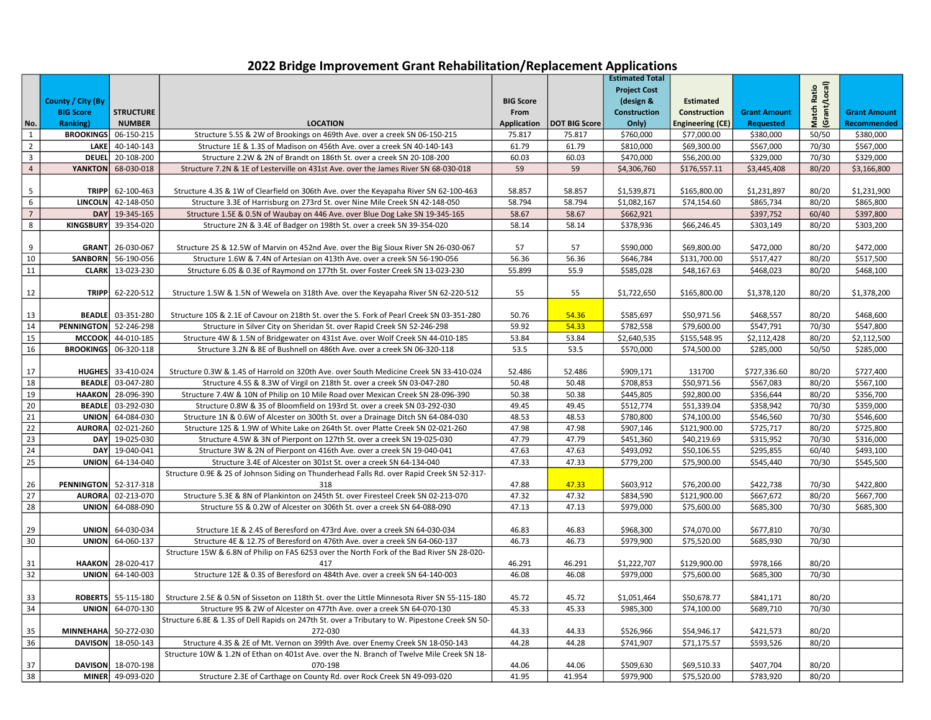## 2022 Bridge Improvement Grant Rehabilitation/Replacement Applications

|                         |                              |                          |                                                                                                 |                  |                                       | <b>Estimated Total</b> |                                        |                     |                              |                     |
|-------------------------|------------------------------|--------------------------|-------------------------------------------------------------------------------------------------|------------------|---------------------------------------|------------------------|----------------------------------------|---------------------|------------------------------|---------------------|
|                         |                              |                          |                                                                                                 |                  |                                       | <b>Project Cost</b>    |                                        |                     |                              |                     |
|                         | County / City (By            |                          |                                                                                                 | <b>BIG Score</b> |                                       | (design &              | <b>Estimated</b>                       |                     |                              |                     |
|                         | <b>BIG Score</b>             | <b>STRUCTURE</b>         |                                                                                                 | From             |                                       | <b>Construction</b>    | Construction                           | <b>Grant Amount</b> |                              | <b>Grant Amount</b> |
|                         | Ranking)                     | <b>NUMBER</b>            | <b>LOCATION</b>                                                                                 |                  |                                       | Only)                  |                                        | <b>Requested</b>    | Match Ratio<br>(Grant/Local) | <b>Recommended</b>  |
| No.<br>$\mathbf{1}$     | <b>BROOKINGS</b>             | 06-150-215               | Structure 5.5S & 2W of Brookings on 469th Ave. over a creek SN 06-150-215                       | 75.817           | Application   DOT BIG Score<br>75.817 | \$760,000              | <b>Engineering (CE)</b><br>\$77,000.00 | \$380,000           | 50/50                        | \$380,000           |
| $\overline{2}$          | <b>LAKE</b>                  | 40-140-143               | Structure 1E & 1.3S of Madison on 456th Ave. over a creek SN 40-140-143                         | 61.79            | 61.79                                 | \$810,000              | \$69,300.00                            | \$567,000           | 70/30                        | \$567,000           |
| $\overline{\mathbf{3}}$ | <b>DEUEL</b>                 | 20-108-200               | Structure 2.2W & 2N of Brandt on 186th St. over a creek SN 20-108-200                           | 60.03            | 60.03                                 | \$470,000              | \$56,200.00                            | \$329,000           | 70/30                        | \$329,000           |
| $\overline{4}$          | <b>YANKTON</b>               | 68-030-018               |                                                                                                 |                  | 59                                    |                        |                                        |                     | 80/20                        |                     |
|                         |                              |                          | Structure 7.2N & 1E of Lesterville on 431st Ave. over the James River SN 68-030-018             | 59               |                                       | \$4,306,760            | \$176,557.11                           | \$3,445,408         |                              | \$3,166,800         |
|                         |                              |                          |                                                                                                 |                  |                                       |                        |                                        |                     |                              |                     |
| 5                       | <b>TRIPP</b>                 | 62-100-463               | Structure 4.3S & 1W of Clearfield on 306th Ave. over the Keyapaha River SN 62-100-463           | 58.857           | 58.857                                | \$1,539,871            | \$165,800.00                           | \$1,231,897         | 80/20                        | \$1,231,900         |
| 6                       |                              | LINCOLN 42-148-050       | Structure 3.3E of Harrisburg on 273rd St. over Nine Mile Creek SN 42-148-050                    | 58.794           | 58.794                                | \$1,082,167            | \$74,154.60                            | \$865,734           | 80/20                        | \$865,800           |
| $\overline{7}$          | <b>DAY</b>                   | 19-345-165               | Structure 1.5E & 0.5N of Waubay on 446 Ave. over Blue Dog Lake SN 19-345-165                    | 58.67            | 58.67                                 | \$662,921              |                                        | \$397,752           | 60/40                        | \$397,800           |
| 8                       | <b>KINGSBURY</b>             | 39-354-020               | Structure 2N & 3.4E of Badger on 198th St. over a creek SN 39-354-020                           | 58.14            | 58.14                                 | \$378,936              | \$66,246.45                            | \$303,149           | 80/20                        | \$303,200           |
| 9                       |                              | GRANT 26-030-067         | Structure 2S & 12.5W of Marvin on 452nd Ave. over the Big Sioux River SN 26-030-067             | 57               | 57                                    | \$590,000              | \$69,800.00                            | \$472,000           | 80/20                        | \$472,000           |
| 10                      | <b>SANBORN</b>               | 56-190-056               | Structure 1.6W & 7.4N of Artesian on 413th Ave. over a creek SN 56-190-056                      | 56.36            | 56.36                                 | \$646,784              | \$131,700.00                           | \$517,427           | 80/20                        | \$517,500           |
| 11                      | <b>CLARK</b>                 | 13-023-230               | Structure 6.0S & 0.3E of Raymond on 177th St. over Foster Creek SN 13-023-230                   | 55.899           | 55.9                                  | \$585,028              | \$48,167.63                            | \$468,023           | 80/20                        | \$468,100           |
|                         |                              |                          |                                                                                                 |                  |                                       |                        |                                        |                     |                              |                     |
| 12                      |                              | TRIPP 62-220-512         | Structure 1.5W & 1.5N of Wewela on 318th Ave. over the Keyapaha River SN 62-220-512             | 55               | 55                                    | \$1,722,650            | \$165,800.00                           | \$1,378,120         | 80/20                        | \$1,378,200         |
|                         |                              |                          |                                                                                                 |                  |                                       |                        |                                        |                     |                              |                     |
| 13                      |                              | <b>BEADLE</b> 03-351-280 | Structure 10S & 2.1E of Cavour on 218th St. over the S. Fork of Pearl Creek SN 03-351-280       | 50.76            | 54.36                                 | \$585,697              | \$50,971.56                            | \$468,557           | 80/20                        | \$468,600           |
| 14                      | <b>PENNINGTON</b> 52-246-298 |                          | Structure in Silver City on Sheridan St. over Rapid Creek SN 52-246-298                         | 59.92            | 54.33                                 | \$782,558              | \$79,600.00                            | \$547,791           | 70/30                        | \$547,800           |
| 15                      |                              | MCCOOK 44-010-185        | Structure 4W & 1.5N of Bridgewater on 431st Ave. over Wolf Creek SN 44-010-185                  | 53.84            | 53.84                                 | \$2,640,535            | \$155,548.95                           | \$2,112,428         | 80/20                        | \$2,112,500         |
| $\overline{16}$         | <b>BROOKINGS</b> 06-320-118  |                          | Structure 3.2N & 8E of Bushnell on 486th Ave. over a creek SN 06-320-118                        | 53.5             | 53.5                                  | \$570,000              | \$74,500.00                            | \$285,000           | 50/50                        | \$285,000           |
|                         |                              |                          |                                                                                                 |                  |                                       |                        |                                        |                     |                              |                     |
| 17                      |                              | HUGHES 33-410-024        | Structure 0.3W & 1.4S of Harrold on 320th Ave. over South Medicine Creek SN 33-410-024          | 52.486           | 52.486                                | \$909,171              | 131700                                 | \$727,336.60        | 80/20                        | \$727,400           |
| 18                      |                              | <b>BEADLE</b> 03-047-280 | Structure 4.5S & 8.3W of Virgil on 218th St. over a creek SN 03-047-280                         | 50.48            | 50.48                                 | \$708,853              | \$50,971.56                            | \$567,083           | 80/20                        | \$567,100           |
| 19                      |                              | HAAKON 28-096-390        | Structure 7.4W & 10N of Philip on 10 Mile Road over Mexican Creek SN 28-096-390                 | 50.38            | 50.38                                 | \$445,805              | \$92,800.00                            | \$356,644           | 80/20                        | \$356,700           |
| $\overline{20}$         | <b>BEADLE</b>                | 03-292-030               | Structure 0.8W & 3S of Bloomfield on 193rd St. over a creek SN 03-292-030                       | 49.45            | 49.45                                 | \$512,774              | \$51,339.04                            | \$358,942           | 70/30                        | \$359,000           |
| $\overline{21}$         | UNION                        | 64-084-030               | Structure 1N & 0.6W of Alcester on 300th St. over a Drainage Ditch SN 64-084-030                | 48.53            | 48.53                                 | \$780,800              | \$74,100.00                            | \$546,560           | 70/30                        | \$546,600           |
| $\overline{22}$         | <b>AURORA</b>                | 02-021-260               | Structure 12S & 1.9W of White Lake on 264th St. over Platte Creek SN 02-021-260                 | 47.98            | 47.98                                 | \$907,146              | \$121,900.00                           | \$725,717           | 80/20                        | \$725,800           |
| 23                      |                              | DAY 19-025-030           | Structure 4.5W & 3N of Pierpont on 127th St. over a creek SN 19-025-030                         | 47.79            | 47.79                                 | \$451,360              | \$40,219.69                            | \$315,952           | 70/30                        | \$316,000           |
| 24                      | <b>DAY</b>                   | 19-040-041               | Structure 3W & 2N of Pierpont on 416th Ave. over a creek SN 19-040-041                          | 47.63            | 47.63                                 | \$493,092              | \$50,106.55                            | \$295,855           | 60/40                        | \$493,100           |
| 25                      | <b>UNION</b>                 | 64-134-040               | Structure 3.4E of Alcester on 301st St. over a creek SN 64-134-040                              | 47.33            | 47.33                                 | \$779,200              | \$75,900.00                            | \$545,440           | 70/30                        | \$545,500           |
|                         |                              |                          | Structure 0.9E & 2S of Johnson Siding on Thunderhead Falls Rd. over Rapid Creek SN 52-317-      |                  |                                       |                        |                                        |                     |                              |                     |
| 26                      | <b>PENNINGTON</b> 52-317-318 |                          | 318                                                                                             | 47.88            | 47.33                                 | \$603,912              | \$76,200.00                            | \$422,738           | 70/30                        | \$422,800           |
| $\overline{27}$         | <b>AURORA</b>                | 02-213-070               | Structure 5.3E & 8N of Plankinton on 245th St. over Firesteel Creek SN 02-213-070               | 47.32            | 47.32                                 | \$834,590              | \$121,900.00                           | \$667,672           | 80/20                        | \$667,700           |
| 28                      | UNION                        | 64-088-090               | Structure 5S & 0.2W of Alcester on 306th St. over a creek SN 64-088-090                         | 47.13            | 47.13                                 | \$979,000              | \$75,600.00                            | \$685,300           | 70/30                        | \$685,300           |
|                         |                              |                          |                                                                                                 |                  |                                       |                        |                                        |                     |                              |                     |
| 29                      |                              | UNION 64-030-034         | Structure 1E & 2.4S of Beresford on 473rd Ave. over a creek SN 64-030-034                       | 46.83            | 46.83                                 | \$968,300              | \$74,070.00                            | \$677,810           | 70/30                        |                     |
| 30                      | <b>UNION</b>                 | 64-060-137               | Structure 4E & 12.7S of Beresford on 476th Ave. over a creek SN 64-060-137                      | 46.73            | 46.73                                 | \$979,900              | \$75,520.00                            | \$685,930           | 70/30                        |                     |
|                         |                              |                          | Structure 15W & 6.8N of Philip on FAS 6253 over the North Fork of the Bad River SN 28-020-      |                  |                                       |                        |                                        |                     |                              |                     |
| 31                      | <b>HAAKON</b>                | 28-020-417               | 417                                                                                             | 46.291           | 46.291                                | \$1,222,707            | \$129,900.00                           | \$978,166           | 80/20                        |                     |
| $\overline{32}$         |                              | $UNION$ 64-140-003       | Structure 12E & 0.3S of Beresford on 484th Ave. over a creek SN 64-140-003                      | 46.08            | 46.08                                 | \$979,000              | \$75,600.00                            | \$685,300           | 70/30                        |                     |
|                         |                              |                          |                                                                                                 |                  |                                       |                        |                                        |                     |                              |                     |
| 33                      | <b>ROBERTS</b>               | 55-115-180               | Structure 2.5E & 0.5N of Sisseton on 118th St. over the Little Minnesota River SN 55-115-180    | 45.72            | 45.72                                 | \$1,051,464            | \$50,678.77                            | \$841,171           | 80/20                        |                     |
| 34                      | UNION                        | 64-070-130               | Structure 9S & 2W of Alcester on 477th Ave. over a creek SN 64-070-130                          | 45.33            | 45.33                                 | \$985,300              | \$74,100.00                            | \$689,710           | 70/30                        |                     |
|                         |                              |                          | Structure 6.8E & 1.3S of Dell Rapids on 247th St. over a Tributary to W. Pipestone Creek SN 50- |                  |                                       |                        |                                        |                     |                              |                     |
| 35                      | <b>MINNEHAHA</b>             | 50-272-030               | 272-030                                                                                         | 44.33            | 44.33                                 | \$526,966              | \$54,946.17                            | \$421,573           | 80/20                        |                     |
| 36                      | <b>DAVISON</b>               | 18-050-143               | Structure 4.3S & 2E of Mt. Vernon on 399th Ave. over Enemy Creek SN 18-050-143                  | 44.28            | 44.28                                 | \$741,907              | \$71,175.57                            | \$593,526           | 80/20                        |                     |
|                         |                              |                          | Structure 10W & 1.2N of Ethan on 401st Ave. over the N. Branch of Twelve Mile Creek SN 18-      |                  |                                       |                        |                                        |                     |                              |                     |
| 37                      |                              | DAVISON 18-070-198       | 070-198                                                                                         | 44.06            | 44.06                                 | \$509,630              | \$69,510.33                            | \$407,704           | 80/20                        |                     |
| 38                      |                              | MINER 49-093-020         | Structure 2.3E of Carthage on County Rd. over Rock Creek SN 49-093-020                          | 41.95            | 41.954                                | \$979,900              | \$75,520.00                            | \$783,920           | 80/20                        |                     |
|                         |                              |                          |                                                                                                 |                  |                                       |                        |                                        |                     |                              |                     |